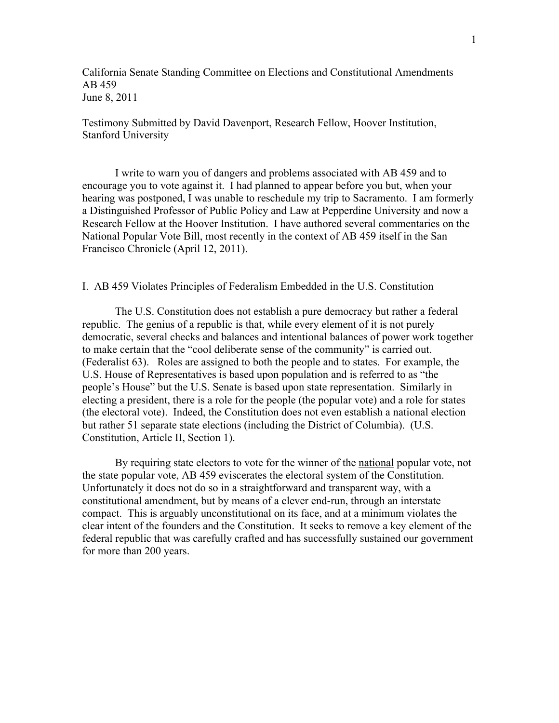California Senate Standing Committee on Elections and Constitutional Amendments AB 459 June 8, 2011

Testimony Submitted by David Davenport, Research Fellow, Hoover Institution, Stanford University

I write to warn you of dangers and problems associated with AB 459 and to encourage you to vote against it. I had planned to appear before you but, when your hearing was postponed, I was unable to reschedule my trip to Sacramento. I am formerly a Distinguished Professor of Public Policy and Law at Pepperdine University and now a Research Fellow at the Hoover Institution. I have authored several commentaries on the National Popular Vote Bill, most recently in the context of AB 459 itself in the San Francisco Chronicle (April 12, 2011).

## I. AB 459 Violates Principles of Federalism Embedded in the U.S. Constitution

The U.S. Constitution does not establish a pure democracy but rather a federal republic. The genius of a republic is that, while every element of it is not purely democratic, several checks and balances and intentional balances of power work together to make certain that the "cool deliberate sense of the community" is carried out. (Federalist 63). Roles are assigned to both the people and to states. For example, the U.S. House of Representatives is based upon population and is referred to as "the people's House" but the U.S. Senate is based upon state representation. Similarly in electing a president, there is a role for the people (the popular vote) and a role for states (the electoral vote). Indeed, the Constitution does not even establish a national election but rather 51 separate state elections (including the District of Columbia). (U.S. Constitution, Article II, Section 1).

By requiring state electors to vote for the winner of the national popular vote, not the state popular vote, AB 459 eviscerates the electoral system of the Constitution. Unfortunately it does not do so in a straightforward and transparent way, with a constitutional amendment, but by means of a clever end-run, through an interstate compact. This is arguably unconstitutional on its face, and at a minimum violates the clear intent of the founders and the Constitution. It seeks to remove a key element of the federal republic that was carefully crafted and has successfully sustained our government for more than 200 years.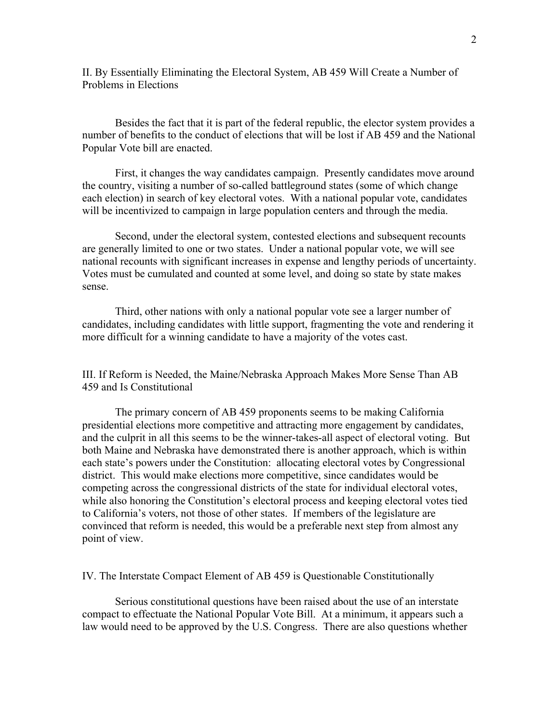II. By Essentially Eliminating the Electoral System, AB 459 Will Create a Number of Problems in Elections

Besides the fact that it is part of the federal republic, the elector system provides a number of benefits to the conduct of elections that will be lost if AB 459 and the National Popular Vote bill are enacted.

First, it changes the way candidates campaign. Presently candidates move around the country, visiting a number of so-called battleground states (some of which change each election) in search of key electoral votes. With a national popular vote, candidates will be incentivized to campaign in large population centers and through the media.

Second, under the electoral system, contested elections and subsequent recounts are generally limited to one or two states. Under a national popular vote, we will see national recounts with significant increases in expense and lengthy periods of uncertainty. Votes must be cumulated and counted at some level, and doing so state by state makes sense.

Third, other nations with only a national popular vote see a larger number of candidates, including candidates with little support, fragmenting the vote and rendering it more difficult for a winning candidate to have a majority of the votes cast.

III. If Reform is Needed, the Maine/Nebraska Approach Makes More Sense Than AB 459 and Is Constitutional

The primary concern of AB 459 proponents seems to be making California presidential elections more competitive and attracting more engagement by candidates, and the culprit in all this seems to be the winner-takes-all aspect of electoral voting. But both Maine and Nebraska have demonstrated there is another approach, which is within each state's powers under the Constitution: allocating electoral votes by Congressional district. This would make elections more competitive, since candidates would be competing across the congressional districts of the state for individual electoral votes, while also honoring the Constitution's electoral process and keeping electoral votes tied to California's voters, not those of other states. If members of the legislature are convinced that reform is needed, this would be a preferable next step from almost any point of view.

IV. The Interstate Compact Element of AB 459 is Questionable Constitutionally

Serious constitutional questions have been raised about the use of an interstate compact to effectuate the National Popular Vote Bill. At a minimum, it appears such a law would need to be approved by the U.S. Congress. There are also questions whether